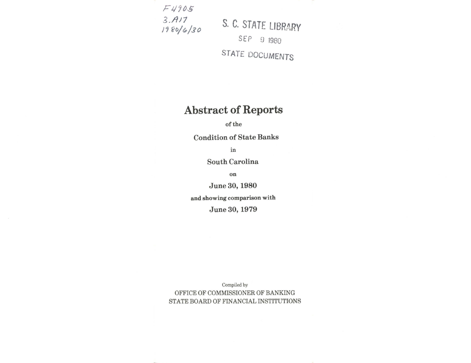$F4905$ 3.n/7

 $t_1$   $t_2$   $t_3$   $t_6$   $t_7$   $t_8$   $t_9$   $t_9$   $t_9$   $t_8$   $t_9$   $t_9$   $t_8$   $t_9$   $t_9$   $t_1$   $t_1$ SEP 9 1980 STATE DOCUMENTS

## Abstract of Reports

of the

Condition of State Banks

in

South Carolina

on

June 30, 1980

and showing comparieon with

June 30, 1979

Compiled by OFFICE OF COMMISSIONER OF BANKING STATE BOARD OF FINANCIAL INSTITUTIONS